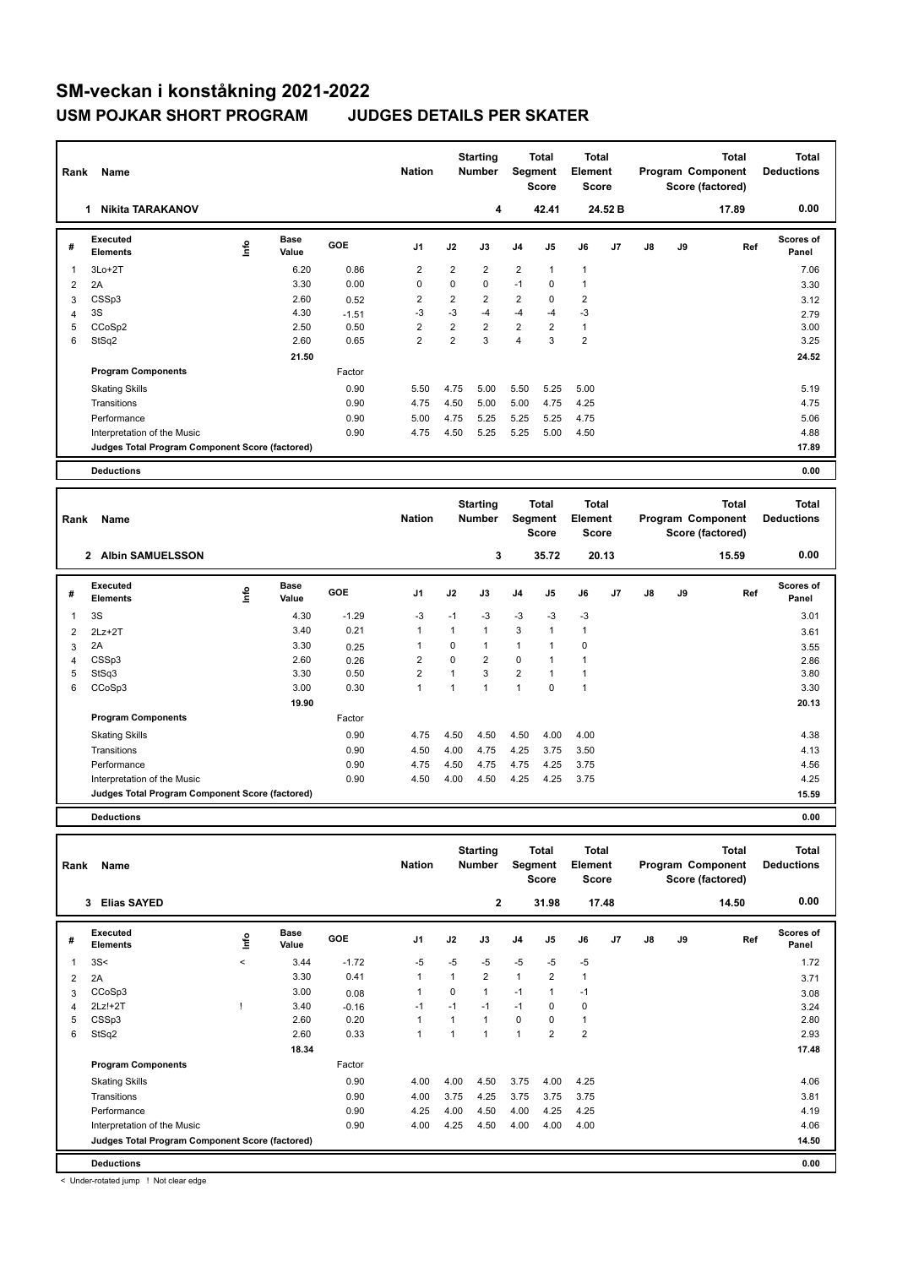## **SM-veckan i konståkning 2021-2022 USM POJKAR SHORT PROGRAM JUDGES DETAILS PER SKATER**

| Rank | Name                                            |             |                      |            | <b>Nation</b>  |                | <b>Starting</b><br><b>Number</b> | <b>Total</b><br>Segment<br><b>Score</b> |                | <b>Total</b><br>Element<br><b>Score</b> |                | Program Component |    | <b>Total</b><br>Score (factored) | <b>Total</b><br><b>Deductions</b> |
|------|-------------------------------------------------|-------------|----------------------|------------|----------------|----------------|----------------------------------|-----------------------------------------|----------------|-----------------------------------------|----------------|-------------------|----|----------------------------------|-----------------------------------|
|      | <b>Nikita TARAKANOV</b><br>1                    |             |                      |            |                |                | 4                                |                                         | 42.41          |                                         | 24.52 B        |                   |    | 17.89                            | 0.00                              |
| #    | <b>Executed</b><br><b>Elements</b>              | <u>info</u> | <b>Base</b><br>Value | <b>GOE</b> | J <sub>1</sub> | J2             | J3                               | J <sub>4</sub>                          | J5             | J6                                      | J <sub>7</sub> | J8                | J9 | Ref                              | <b>Scores of</b><br>Panel         |
| 1    | $3Lo+2T$                                        |             | 6.20                 | 0.86       | $\overline{2}$ | $\overline{2}$ | $\overline{2}$                   | $\overline{2}$                          | $\mathbf{1}$   | $\mathbf{1}$                            |                |                   |    |                                  | 7.06                              |
| 2    | 2A                                              |             | 3.30                 | 0.00       | $\Omega$       | $\Omega$       | $\Omega$                         | $-1$                                    | 0              | 1                                       |                |                   |    |                                  | 3.30                              |
| 3    | CSSp3                                           |             | 2.60                 | 0.52       | 2              | $\overline{2}$ | $\overline{2}$                   | $\overline{2}$                          | 0              | $\overline{2}$                          |                |                   |    |                                  | 3.12                              |
| 4    | 3S                                              |             | 4.30                 | $-1.51$    | -3             | $-3$           | $-4$                             | $-4$                                    | $-4$           | $-3$                                    |                |                   |    |                                  | 2.79                              |
| 5    | CCoSp2                                          |             | 2.50                 | 0.50       | $\overline{2}$ | $\overline{2}$ | $\overline{2}$                   | $\overline{2}$                          | $\overline{2}$ | $\mathbf{1}$                            |                |                   |    |                                  | 3.00                              |
| 6    | StSq2                                           |             | 2.60                 | 0.65       | $\overline{2}$ | $\overline{2}$ | 3                                | 4                                       | 3              | $\overline{2}$                          |                |                   |    |                                  | 3.25                              |
|      |                                                 |             | 21.50                |            |                |                |                                  |                                         |                |                                         |                |                   |    |                                  | 24.52                             |
|      | <b>Program Components</b>                       |             |                      | Factor     |                |                |                                  |                                         |                |                                         |                |                   |    |                                  |                                   |
|      | <b>Skating Skills</b>                           |             |                      | 0.90       | 5.50           | 4.75           | 5.00                             | 5.50                                    | 5.25           | 5.00                                    |                |                   |    |                                  | 5.19                              |
|      | Transitions                                     |             |                      | 0.90       | 4.75           | 4.50           | 5.00                             | 5.00                                    | 4.75           | 4.25                                    |                |                   |    |                                  | 4.75                              |
|      | Performance                                     |             |                      | 0.90       | 5.00           | 4.75           | 5.25                             | 5.25                                    | 5.25           | 4.75                                    |                |                   |    |                                  | 5.06                              |
|      | Interpretation of the Music                     |             |                      | 0.90       | 4.75           | 4.50           | 5.25                             | 5.25                                    | 5.00           | 4.50                                    |                |                   |    |                                  | 4.88                              |
|      | Judges Total Program Component Score (factored) |             |                      |            |                |                |                                  |                                         |                |                                         |                |                   |    |                                  | 17.89                             |
|      | <b>Deductions</b>                               |             |                      |            |                |                |                                  |                                         |                |                                         |                |                   |    |                                  | 0.00                              |
|      |                                                 |             |                      |            |                |                |                                  |                                         |                |                                         |                |                   |    |                                  |                                   |
|      |                                                 |             |                      |            |                |                | $P = 1$                          |                                         | エーエーエ          | $7 - 4 - 1$                             |                |                   |    | $7 - 4 - 1$                      | $7 - 4 - 1$                       |

| Name<br>Rank |                                                 |    |                      |            | <b>Nation</b>  |          | <b>Starting</b><br><b>Number</b> |                | Total<br>Segment<br><b>Score</b> |                | Total<br>Element<br><b>Score</b> |    |    | <b>Total</b><br>Program Component<br>Score (factored) | <b>Total</b><br><b>Deductions</b> |  |
|--------------|-------------------------------------------------|----|----------------------|------------|----------------|----------|----------------------------------|----------------|----------------------------------|----------------|----------------------------------|----|----|-------------------------------------------------------|-----------------------------------|--|
|              | <b>Albin SAMUELSSON</b><br>$\mathbf{2}$         |    |                      |            |                |          | 3                                |                | 35.72                            |                | 20.13                            |    |    | 15.59                                                 | 0.00                              |  |
| #            | Executed<br><b>Elements</b>                     | ۴ů | <b>Base</b><br>Value | <b>GOE</b> | J <sub>1</sub> | J2       | J3                               | J <sub>4</sub> | J5                               | J6             | J <sub>7</sub>                   | J8 | J9 | Ref                                                   | <b>Scores of</b><br>Panel         |  |
|              | 3S                                              |    | 4.30                 | $-1.29$    | $-3$           | $-1$     | $-3$                             | $-3$           | $-3$                             | $-3$           |                                  |    |    |                                                       | 3.01                              |  |
| 2            | $2Lz+2T$                                        |    | 3.40                 | 0.21       | $\overline{1}$ | 1        | $\mathbf{1}$                     | 3              | 1                                | 1              |                                  |    |    |                                                       | 3.61                              |  |
| 3            | 2A                                              |    | 3.30                 | 0.25       | 1              | 0        | 1                                | 1              | 1                                | 0              |                                  |    |    |                                                       | 3.55                              |  |
| 4            | CSSp3                                           |    | 2.60                 | 0.26       | $\overline{2}$ | $\Omega$ | $\overline{2}$                   | $\Omega$       | 1                                |                |                                  |    |    |                                                       | 2.86                              |  |
| 5            | StSq3                                           |    | 3.30                 | 0.50       | $\overline{2}$ |          | 3                                | $\overline{2}$ | 1                                |                |                                  |    |    |                                                       | 3.80                              |  |
| 6            | CCoSp3                                          |    | 3.00                 | 0.30       | 1              |          | $\overline{1}$                   | 1              | 0                                | $\overline{1}$ |                                  |    |    |                                                       | 3.30                              |  |
|              |                                                 |    | 19.90                |            |                |          |                                  |                |                                  |                |                                  |    |    |                                                       | 20.13                             |  |
|              | <b>Program Components</b>                       |    |                      | Factor     |                |          |                                  |                |                                  |                |                                  |    |    |                                                       |                                   |  |
|              | <b>Skating Skills</b>                           |    |                      | 0.90       | 4.75           | 4.50     | 4.50                             | 4.50           | 4.00                             | 4.00           |                                  |    |    |                                                       | 4.38                              |  |
|              | Transitions                                     |    |                      | 0.90       | 4.50           | 4.00     | 4.75                             | 4.25           | 3.75                             | 3.50           |                                  |    |    |                                                       | 4.13                              |  |
|              | Performance                                     |    |                      | 0.90       | 4.75           | 4.50     | 4.75                             | 4.75           | 4.25                             | 3.75           |                                  |    |    |                                                       | 4.56                              |  |
|              | Interpretation of the Music                     |    |                      | 0.90       | 4.50           | 4.00     | 4.50                             | 4.25           | 4.25                             | 3.75           |                                  |    |    |                                                       | 4.25                              |  |
|              | Judges Total Program Component Score (factored) |    |                      |            |                |          |                                  |                |                                  |                |                                  |    |    |                                                       | 15.59                             |  |
|              | <b>Deductions</b>                               |    |                      |            |                |          |                                  |                |                                  |                |                                  |    |    |                                                       | 0.00                              |  |

| Name<br>Rank |                                                 |                     |                      | <b>Nation</b> |                | <b>Starting</b><br><b>Number</b> |                | <b>Total</b><br>Segment<br><b>Score</b> | <b>Total</b><br>Element<br><b>Score</b> |                | Program Component<br>Score (factored) |    | Total | <b>Total</b><br><b>Deductions</b> |                           |
|--------------|-------------------------------------------------|---------------------|----------------------|---------------|----------------|----------------------------------|----------------|-----------------------------------------|-----------------------------------------|----------------|---------------------------------------|----|-------|-----------------------------------|---------------------------|
|              | <b>Elias SAYED</b><br>3                         |                     |                      |               |                |                                  | $\mathbf{2}$   |                                         | 31.98                                   | 17.48          |                                       |    |       | 14.50                             | 0.00                      |
| #            | Executed<br><b>Elements</b>                     | lnfo                | <b>Base</b><br>Value | GOE           | J <sub>1</sub> | J2                               | J3             | J <sub>4</sub>                          | J <sub>5</sub>                          | J6             | J7                                    | J8 | J9    | Ref                               | <b>Scores of</b><br>Panel |
|              | 3S<                                             | $\hat{\phantom{a}}$ | 3.44                 | $-1.72$       | $-5$           | $-5$                             | $-5$           | $-5$                                    | $-5$                                    | $-5$           |                                       |    |       |                                   | 1.72                      |
| 2            | 2A                                              |                     | 3.30                 | 0.41          | $\mathbf{1}$   | 1                                | $\overline{2}$ | $\mathbf{1}$                            | $\overline{2}$                          | $\mathbf{1}$   |                                       |    |       |                                   | 3.71                      |
| 3            | CCoSp3                                          |                     | 3.00                 | 0.08          |                | 0                                | 1              | $-1$                                    |                                         | $-1$           |                                       |    |       |                                   | 3.08                      |
| 4            | $2Lz!+2T$                                       |                     | 3.40                 | $-0.16$       | $-1$           | $-1$                             | $-1$           | $-1$                                    | 0                                       | 0              |                                       |    |       |                                   | 3.24                      |
| 5            | CSSp3                                           |                     | 2.60                 | 0.20          | 1              |                                  | 1              | $\mathbf 0$                             | 0                                       | $\mathbf{1}$   |                                       |    |       |                                   | 2.80                      |
| 6            | StSq2                                           |                     | 2.60                 | 0.33          | $\overline{1}$ | $\overline{ }$                   | 1              | 1                                       | $\overline{2}$                          | $\overline{2}$ |                                       |    |       |                                   | 2.93                      |
|              |                                                 |                     | 18.34                |               |                |                                  |                |                                         |                                         |                |                                       |    |       |                                   | 17.48                     |
|              | <b>Program Components</b>                       |                     |                      | Factor        |                |                                  |                |                                         |                                         |                |                                       |    |       |                                   |                           |
|              | <b>Skating Skills</b>                           |                     |                      | 0.90          | 4.00           | 4.00                             | 4.50           | 3.75                                    | 4.00                                    | 4.25           |                                       |    |       |                                   | 4.06                      |
|              | Transitions                                     |                     |                      | 0.90          | 4.00           | 3.75                             | 4.25           | 3.75                                    | 3.75                                    | 3.75           |                                       |    |       |                                   | 3.81                      |
|              | Performance                                     |                     |                      | 0.90          | 4.25           | 4.00                             | 4.50           | 4.00                                    | 4.25                                    | 4.25           |                                       |    |       |                                   | 4.19                      |
|              | Interpretation of the Music                     |                     |                      | 0.90          | 4.00           | 4.25                             | 4.50           | 4.00                                    | 4.00                                    | 4.00           |                                       |    |       |                                   | 4.06                      |
|              | Judges Total Program Component Score (factored) |                     |                      |               |                |                                  |                |                                         |                                         |                |                                       |    |       |                                   | 14.50                     |
|              | <b>Deductions</b>                               |                     |                      |               |                |                                  |                |                                         |                                         |                |                                       |    |       |                                   | 0.00                      |

< Under-rotated jump ! Not clear edge